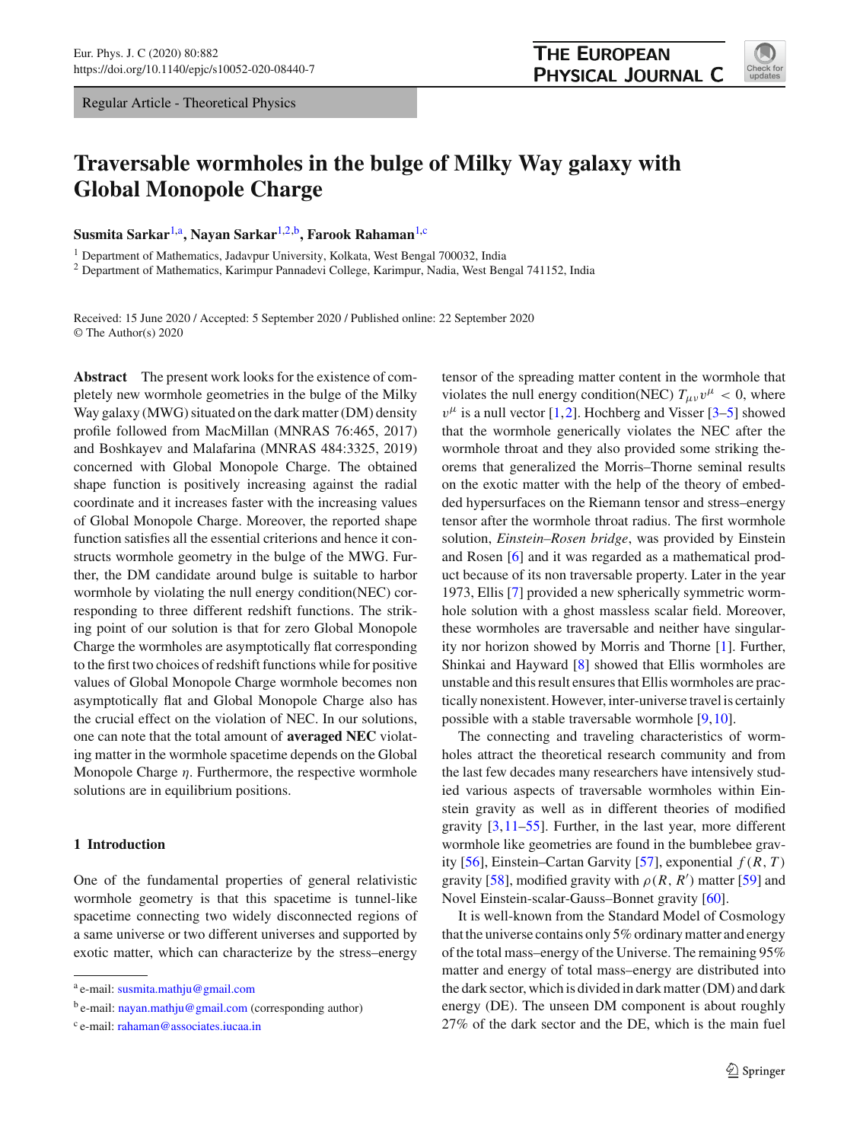Regular Article - Theoretical Physics

# **Traversable wormholes in the bulge of Milky Way galaxy with Global Monopole Charge**

**Susmita Sarkar**[1,](#page-0-0)a **, Nayan Sarkar**[1,2,](#page-0-0)b **, Farook Rahaman**[1,](#page-0-0)c

<sup>1</sup> Department of Mathematics, Jadavpur University, Kolkata, West Bengal 700032, India

<sup>2</sup> Department of Mathematics, Karimpur Pannadevi College, Karimpur, Nadia, West Bengal 741152, India

Received: 15 June 2020 / Accepted: 5 September 2020 / Published online: 22 September 2020 © The Author(s) 2020

**Abstract** The present work looks for the existence of completely new wormhole geometries in the bulge of the Milky Way galaxy (MWG) situated on the dark matter (DM) density profile followed from MacMillan (MNRAS 76:465, 2017) and Boshkayev and Malafarina (MNRAS 484:3325, 2019) concerned with Global Monopole Charge. The obtained shape function is positively increasing against the radial coordinate and it increases faster with the increasing values of Global Monopole Charge. Moreover, the reported shape function satisfies all the essential criterions and hence it constructs wormhole geometry in the bulge of the MWG. Further, the DM candidate around bulge is suitable to harbor wormhole by violating the null energy condition(NEC) corresponding to three different redshift functions. The striking point of our solution is that for zero Global Monopole Charge the wormholes are asymptotically flat corresponding to the first two choices of redshift functions while for positive values of Global Monopole Charge wormhole becomes non asymptotically flat and Global Monopole Charge also has the crucial effect on the violation of NEC. In our solutions, one can note that the total amount of **averaged NEC** violating matter in the wormhole spacetime depends on the Global Monopole Charge  $\eta$ . Furthermore, the respective wormhole solutions are in equilibrium positions.

## **1 Introduction**

One of the fundamental properties of general relativistic wormhole geometry is that this spacetime is tunnel-like spacetime connecting two widely disconnected regions of a same universe or two different universes and supported by exotic matter, which can characterize by the stress–energy

<span id="page-0-0"></span>tensor of the spreading matter content in the wormhole that violates the null energy condition(NEC)  $T_{\mu\nu}v^{\mu} < 0$ , where  $v^{\mu}$  is a null vector [\[1](#page-11-0),[2\]](#page-11-1). Hochberg and Visser [\[3](#page-11-2)[–5](#page-11-3)] showed that the wormhole generically violates the NEC after the wormhole throat and they also provided some striking theorems that generalized the Morris–Thorne seminal results on the exotic matter with the help of the theory of embedded hypersurfaces on the Riemann tensor and stress–energy tensor after the wormhole throat radius. The first wormhole solution, *Einstein–Rosen bridge*, was provided by Einstein and Rosen [\[6\]](#page-11-4) and it was regarded as a mathematical product because of its non traversable property. Later in the year 1973, Ellis [\[7\]](#page-11-5) provided a new spherically symmetric wormhole solution with a ghost massless scalar field. Moreover, these wormholes are traversable and neither have singularity nor horizon showed by Morris and Thorne [\[1\]](#page-11-0). Further, Shinkai and Hayward [\[8](#page-11-6)] showed that Ellis wormholes are unstable and this result ensures that Ellis wormholes are practically nonexistent. However, inter-universe travel is certainly possible with a stable traversable wormhole [\[9](#page-11-7)[,10](#page-11-8)].

The connecting and traveling characteristics of wormholes attract the theoretical research community and from the last few decades many researchers have intensively studied various aspects of traversable wormholes within Einstein gravity as well as in different theories of modified gravity  $[3, 11-55]$ . Further, in the last year, more different wormhole like geometries are found in the bumblebee grav-ity [\[56](#page-11-11)], Einstein–Cartan Garvity [\[57](#page-11-12)], exponential  $f(R, T)$ gravity [\[58\]](#page-11-13), modified gravity with  $\rho(R, R')$  matter [\[59](#page-11-14)] and Novel Einstein-scalar-Gauss–Bonnet gravity [\[60](#page-12-0)].

It is well-known from the Standard Model of Cosmology that the universe contains only 5% ordinary matter and energy of the total mass–energy of the Universe. The remaining 95% matter and energy of total mass–energy are distributed into the dark sector, which is divided in dark matter (DM) and dark energy (DE). The unseen DM component is about roughly 27% of the dark sector and the DE, which is the main fuel



<sup>&</sup>lt;sup>a</sup> e-mail: [susmita.mathju@gmail.com](mailto:susmita.mathju@gmail.com)

b e-mail: [nayan.mathju@gmail.com](mailto:nayan.mathju@gmail.com) (corresponding author)

<sup>&</sup>lt;sup>c</sup> e-mail: [rahaman@associates.iucaa.in](mailto:rahaman@associates.iucaa.in)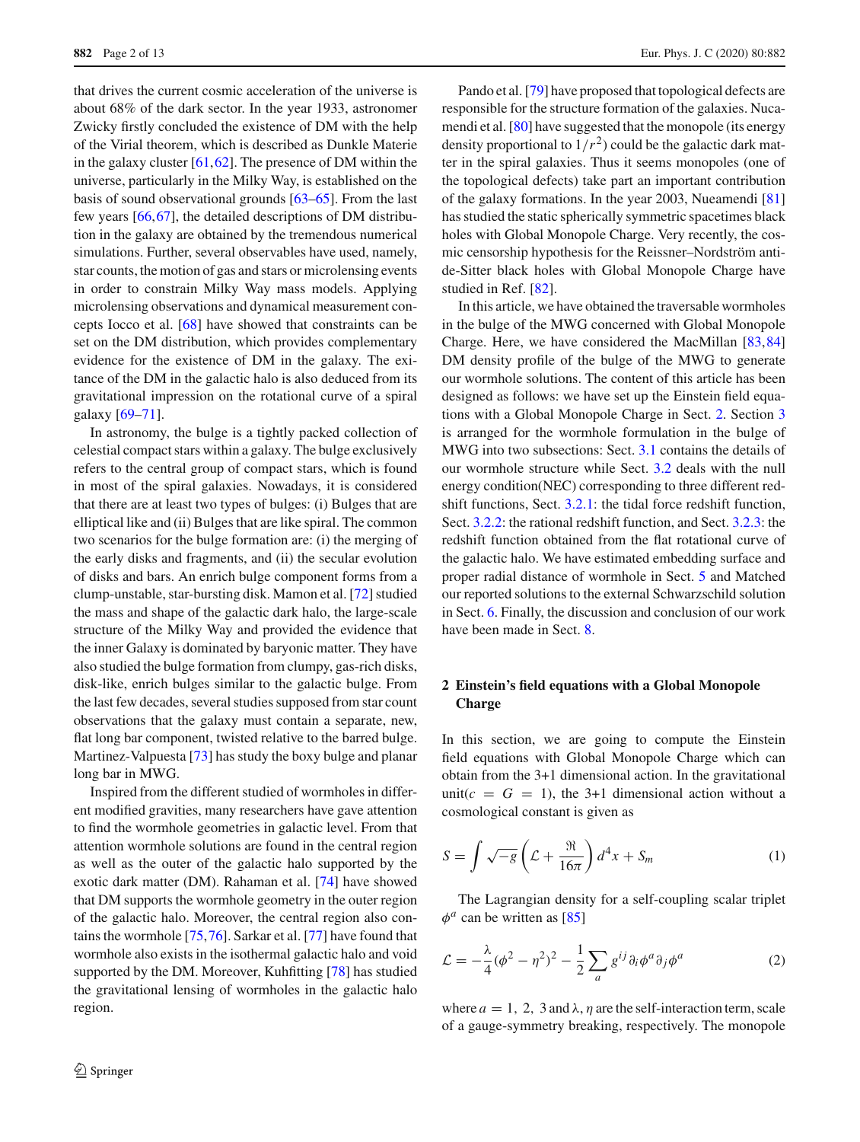that drives the current cosmic acceleration of the universe is about 68% of the dark sector. In the year 1933, astronomer Zwicky firstly concluded the existence of DM with the help of the Virial theorem, which is described as Dunkle Materie in the galaxy cluster  $[61, 62]$  $[61, 62]$  $[61, 62]$ . The presence of DM within the universe, particularly in the Milky Way, is established on the basis of sound observational grounds [\[63](#page-12-3)[–65\]](#page-12-4). From the last few years [\[66](#page-12-5)[,67](#page-12-6)], the detailed descriptions of DM distribution in the galaxy are obtained by the tremendous numerical simulations. Further, several observables have used, namely, star counts, the motion of gas and stars or microlensing events in order to constrain Milky Way mass models. Applying microlensing observations and dynamical measurement concepts Iocco et al. [\[68\]](#page-12-7) have showed that constraints can be set on the DM distribution, which provides complementary evidence for the existence of DM in the galaxy. The exitance of the DM in the galactic halo is also deduced from its gravitational impression on the rotational curve of a spiral galaxy [\[69](#page-12-8)[–71](#page-12-9)].

In astronomy, the bulge is a tightly packed collection of celestial compact stars within a galaxy. The bulge exclusively refers to the central group of compact stars, which is found in most of the spiral galaxies. Nowadays, it is considered that there are at least two types of bulges: (i) Bulges that are elliptical like and (ii) Bulges that are like spiral. The common two scenarios for the bulge formation are: (i) the merging of the early disks and fragments, and (ii) the secular evolution of disks and bars. An enrich bulge component forms from a clump-unstable, star-bursting disk. Mamon et al. [\[72](#page-12-10)] studied the mass and shape of the galactic dark halo, the large-scale structure of the Milky Way and provided the evidence that the inner Galaxy is dominated by baryonic matter. They have also studied the bulge formation from clumpy, gas-rich disks, disk-like, enrich bulges similar to the galactic bulge. From the last few decades, several studies supposed from star count observations that the galaxy must contain a separate, new, flat long bar component, twisted relative to the barred bulge. Martinez-Valpuesta [\[73](#page-12-11)] has study the boxy bulge and planar long bar in MWG.

Inspired from the different studied of wormholes in different modified gravities, many researchers have gave attention to find the wormhole geometries in galactic level. From that attention wormhole solutions are found in the central region as well as the outer of the galactic halo supported by the exotic dark matter (DM). Rahaman et al. [\[74](#page-12-12)] have showed that DM supports the wormhole geometry in the outer region of the galactic halo. Moreover, the central region also contains the wormhole [\[75](#page-12-13)[,76](#page-12-14)]. Sarkar et al. [\[77\]](#page-12-15) have found that wormhole also exists in the isothermal galactic halo and void supported by the DM. Moreover, Kuhfitting [\[78](#page-12-16)] has studied the gravitational lensing of wormholes in the galactic halo region.

Pando et al. [\[79\]](#page-12-17) have proposed that topological defects are responsible for the structure formation of the galaxies. Nucamendi et al. [\[80\]](#page-12-18) have suggested that the monopole (its energy density proportional to  $1/r^2$ ) could be the galactic dark matter in the spiral galaxies. Thus it seems monopoles (one of the topological defects) take part an important contribution of the galaxy formations. In the year 2003, Nueamendi [\[81\]](#page-12-19) has studied the static spherically symmetric spacetimes black holes with Global Monopole Charge. Very recently, the cosmic censorship hypothesis for the Reissner–Nordström antide-Sitter black holes with Global Monopole Charge have studied in Ref. [\[82](#page-12-20)].

In this article, we have obtained the traversable wormholes in the bulge of the MWG concerned with Global Monopole Charge. Here, we have considered the MacMillan [\[83,](#page-12-21)[84\]](#page-12-22) DM density profile of the bulge of the MWG to generate our wormhole solutions. The content of this article has been designed as follows: we have set up the Einstein field equations with a Global Monopole Charge in Sect. [2.](#page-1-0) Section [3](#page-3-0) is arranged for the wormhole formulation in the bulge of MWG into two subsections: Sect. [3.1](#page-4-0) contains the details of our wormhole structure while Sect. [3.2](#page-5-0) deals with the null energy condition(NEC) corresponding to three different redshift functions, Sect. [3.2.1:](#page-5-1) the tidal force redshift function, Sect. [3.2.2:](#page-5-2) the rational redshift function, and Sect. [3.2.3:](#page-6-0) the redshift function obtained from the flat rotational curve of the galactic halo. We have estimated embedding surface and proper radial distance of wormhole in Sect. [5](#page-7-0) and Matched our reported solutions to the external Schwarzschild solution in Sect. [6.](#page-8-0) Finally, the discussion and conclusion of our work have been made in Sect. [8.](#page-9-0)

# <span id="page-1-0"></span>**2 Einstein's field equations with a Global Monopole Charge**

In this section, we are going to compute the Einstein field equations with Global Monopole Charge which can obtain from the 3+1 dimensional action. In the gravitational unit( $c = G = 1$ ), the 3+1 dimensional action without a cosmological constant is given as

$$
S = \int \sqrt{-g} \left( \mathcal{L} + \frac{\Re}{16\pi} \right) d^4 x + S_m \tag{1}
$$

<span id="page-1-1"></span>The Lagrangian density for a self-coupling scalar triplet  $\phi^a$  can be written as [\[85\]](#page-12-23)

$$
\mathcal{L} = -\frac{\lambda}{4}(\phi^2 - \eta^2)^2 - \frac{1}{2}\sum_a g^{ij}\partial_i \phi^a \partial_j \phi^a \tag{2}
$$

where  $a = 1, 2, 3$  and  $\lambda$ ,  $\eta$  are the self-interaction term, scale of a gauge-symmetry breaking, respectively. The monopole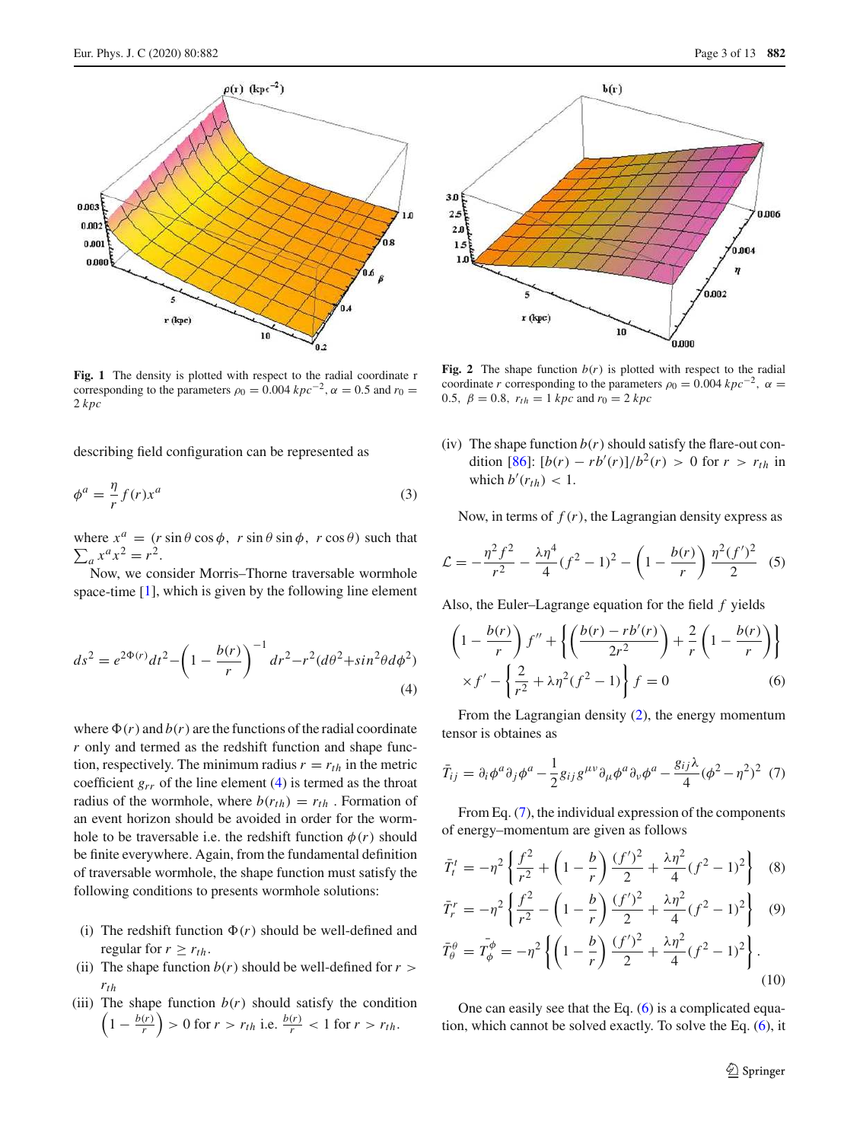

<span id="page-2-3"></span>**Fig. 1** The density is plotted with respect to the radial coordinate r corresponding to the parameters  $\rho_0 = 0.004 kpc^{-2}$ ,  $\alpha = 0.5$  and  $r_0 =$ 2 *kpc*

describing field configuration can be represented as

$$
\phi^a = \frac{\eta}{r} f(r) x^a \tag{3}
$$

where  $x^a = (r \sin \theta \cos \phi, r \sin \theta \sin \phi, r \cos \theta)$  such that  $\sum_{a} x^{a} x^{2} = r^{2}.$ 

<span id="page-2-0"></span>Now, we consider Morris–Thorne traversable wormhole space-time [\[1\]](#page-11-0), which is given by the following line element

$$
ds^{2} = e^{2\Phi(r)}dt^{2} - \left(1 - \frac{b(r)}{r}\right)^{-1}dr^{2} - r^{2}(d\theta^{2} + \sin^{2}\theta d\phi^{2})
$$
\n(4)

where  $\Phi(r)$  and  $b(r)$  are the functions of the radial coordinate *r* only and termed as the redshift function and shape function, respectively. The minimum radius  $r = r_{th}$  in the metric coefficient  $g_{rr}$  of the line element [\(4\)](#page-2-0) is termed as the throat radius of the wormhole, where  $b(r_{th}) = r_{th}$ . Formation of an event horizon should be avoided in order for the wormhole to be traversable i.e. the redshift function  $\phi(r)$  should be finite everywhere. Again, from the fundamental definition of traversable wormhole, the shape function must satisfy the following conditions to presents wormhole solutions:

- (i) The redshift function  $\Phi(r)$  should be well-defined and regular for  $r \geq r_{th}$ .
- (ii) The shape function  $b(r)$  should be well-defined for  $r >$ *rth*
- (iii) The shape function  $b(r)$  should satisfy the condition  $\left(1-\frac{b(r)}{r}\right)$  $\left(\frac{r}{r}\right)$  > 0 for *r* > *r*<sub>th</sub> i.e.  $\frac{b(r)}{r}$  < 1 for *r* > *r*<sub>th</sub>.



<span id="page-2-4"></span>**Fig. 2** The shape function  $b(r)$  is plotted with respect to the radial coordinate *r* corresponding to the parameters  $\rho_0 = 0.004 kpc^{-2}$ ,  $\alpha =$ 0.5,  $\beta = 0.8$ ,  $r_{th} = 1$  *kpc* and  $r_0 = 2$  *kpc* 

(iv) The shape function  $b(r)$  should satisfy the flare-out con-dition [\[86\]](#page-12-24):  $[b(r) - rb'(r)]/b^2(r) > 0$  for  $r > r_{th}$  in which  $b'(r_{th}) < 1$ .

Now, in terms of  $f(r)$ , the Lagrangian density express as

$$
\mathcal{L} = -\frac{\eta^2 f^2}{r^2} - \frac{\lambda \eta^4}{4} (f^2 - 1)^2 - \left(1 - \frac{b(r)}{r}\right) \frac{\eta^2 (f')^2}{2} \tag{5}
$$

Also, the Euler–Lagrange equation for the field *f* yields

<span id="page-2-2"></span>
$$
\left(1 - \frac{b(r)}{r}\right)f'' + \left\{ \left(\frac{b(r) - rb'(r)}{2r^2}\right) + \frac{2}{r} \left(1 - \frac{b(r)}{r}\right) \right\}
$$

$$
\times f' - \left\{ \frac{2}{r^2} + \lambda \eta^2 (f^2 - 1) \right\} f = 0 \tag{6}
$$

<span id="page-2-1"></span>From the Lagrangian density [\(2\)](#page-1-1), the energy momentum tensor is obtaines as

$$
\bar{T}_{ij} = \partial_i \phi^a \partial_j \phi^a - \frac{1}{2} g_{ij} g^{\mu \nu} \partial_\mu \phi^a \partial_\nu \phi^a - \frac{g_{ij} \lambda}{4} (\phi^2 - \eta^2)^2
$$
 (7)

From Eq. [\(7\)](#page-2-1), the individual expression of the components of energy–momentum are given as follows

$$
\bar{T}_t^t = -\eta^2 \left\{ \frac{f^2}{r^2} + \left( 1 - \frac{b}{r} \right) \frac{(f')^2}{2} + \frac{\lambda \eta^2}{4} (f^2 - 1)^2 \right\}
$$
 (8)

$$
\bar{T}_r^r = -\eta^2 \left\{ \frac{f^2}{r^2} - \left( 1 - \frac{b}{r} \right) \frac{(f')^2}{2} + \frac{\lambda \eta^2}{4} (f^2 - 1)^2 \right\}
$$
(9)

$$
\bar{T}_{\theta}^{\theta} = \bar{T}_{\phi}^{\phi} = -\eta^2 \left\{ \left( 1 - \frac{b}{r} \right) \frac{(f')^2}{2} + \frac{\lambda \eta^2}{4} (f^2 - 1)^2 \right\}.
$$
\n(10)

One can easily see that the Eq.  $(6)$  is a complicated equation, which cannot be solved exactly. To solve the Eq. [\(6\)](#page-2-2), it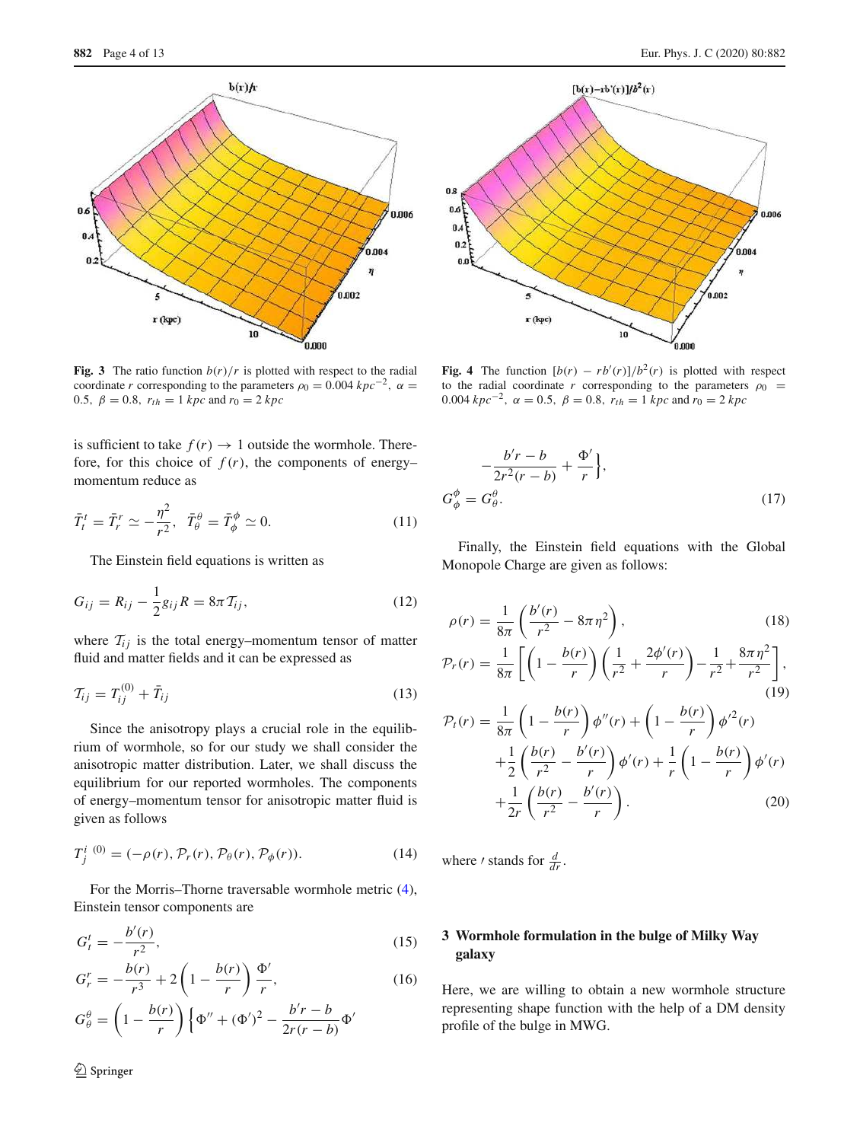

<span id="page-3-2"></span>**Fig. 3** The ratio function  $b(r)/r$  is plotted with respect to the radial coordinate *r* corresponding to the parameters  $\rho_0 = 0.004 kpc^{-2}$ ,  $\alpha =$ 0.5,  $\beta = 0.8$ ,  $r_{th} = 1$  *kpc* and  $r_0 = 2$  *kpc* 

is sufficient to take  $f(r) \rightarrow 1$  outside the wormhole. Therefore, for this choice of  $f(r)$ , the components of energy– momentum reduce as

$$
\bar{T}_t^t = \bar{T}_r^r \simeq -\frac{\eta^2}{r^2}, \quad \bar{T}_\theta^\theta = \bar{T}_\phi^\phi \simeq 0. \tag{11}
$$

The Einstein field equations is written as

$$
G_{ij} = R_{ij} - \frac{1}{2} g_{ij} R = 8\pi T_{ij},
$$
\n(12)

where  $T_{ij}$  is the total energy–momentum tensor of matter fluid and matter fields and it can be expressed as

$$
\mathcal{T}_{ij} = \mathcal{T}_{ij}^{(0)} + \bar{\mathcal{T}}_{ij} \tag{13}
$$

Since the anisotropy plays a crucial role in the equilibrium of wormhole, so for our study we shall consider the anisotropic matter distribution. Later, we shall discuss the equilibrium for our reported wormholes. The components of energy–momentum tensor for anisotropic matter fluid is given as follows

$$
T_j^{i \ (0)} = (-\rho(r), \mathcal{P}_r(r), \mathcal{P}_\theta(r), \mathcal{P}_\phi(r)).
$$
 (14)

For the Morris–Thorne traversable wormhole metric [\(4\)](#page-2-0), Einstein tensor components are

$$
G_t^t = -\frac{b'(r)}{r^2},
$$
\n(15)

$$
G_r^r = -\frac{b(r)}{r^3} + 2\left(1 - \frac{b(r)}{r}\right)\frac{\Phi'}{r},\tag{16}
$$

$$
G_{\theta}^{\theta} = \left(1 - \frac{b(r)}{r}\right) \left\{\Phi'' + (\Phi')^2 - \frac{b'r - b}{2r(r - b)}\Phi'\right\}
$$



<span id="page-3-3"></span>**Fig. 4** The function  $[b(r) - rb'(r)]/b^2(r)$  is plotted with respect to the radial coordinate *r* corresponding to the parameters  $\rho_0$  = 0.004  $kpc^{-2}$ ,  $\alpha = 0.5$ ,  $\beta = 0.8$ ,  $r_{th} = 1$   $kpc$  and  $r_0 = 2$   $kpc$ 

$$
-\frac{b'r - b}{2r^2(r - b)} + \frac{\Phi'}{r},
$$
  
\n
$$
G_{\phi}^{\phi} = G_{\theta}^{\theta}.
$$
\n(17)

Finally, the Einstein field equations with the Global Monopole Charge are given as follows:

<span id="page-3-1"></span>
$$
\rho(r) = \frac{1}{8\pi} \left( \frac{b'(r)}{r^2} - 8\pi \eta^2 \right),
$$
\n
$$
\mathcal{P}_r(r) = \frac{1}{8\pi} \left[ \left( 1 - \frac{b(r)}{r} \right) \left( \frac{1}{r^2} + \frac{2\phi'(r)}{r} \right) - \frac{1}{r^2} + \frac{8\pi \eta^2}{r^2} \right],
$$
\n(18)

(19)  
\n
$$
\mathcal{P}_t(r) = \frac{1}{8\pi} \left( 1 - \frac{b(r)}{r} \right) \phi''(r) + \left( 1 - \frac{b(r)}{r} \right) \phi'^2(r)
$$
\n
$$
+ \frac{1}{2} \left( \frac{b(r)}{r^2} - \frac{b'(r)}{r} \right) \phi'(r) + \frac{1}{r} \left( 1 - \frac{b(r)}{r} \right) \phi'(r)
$$
\n
$$
+ \frac{1}{2r} \left( \frac{b(r)}{r^2} - \frac{b'(r)}{r} \right).
$$
\n(20)

where *'* stands for  $\frac{d}{dr}$ .

# <span id="page-3-0"></span>**3 Wormhole formulation in the bulge of Milky Way galaxy**

Here, we are willing to obtain a new wormhole structure representing shape function with the help of a DM density profile of the bulge in MWG.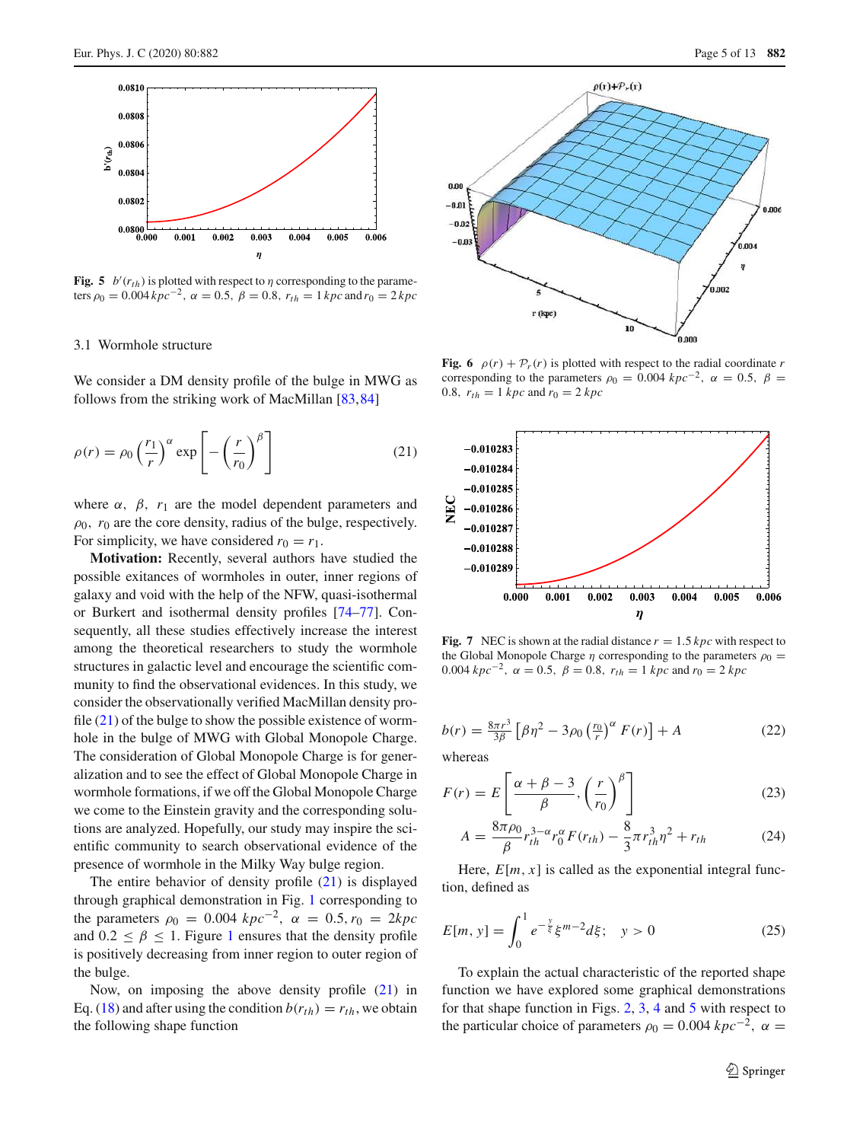

<span id="page-4-2"></span>**Fig. 5**  $b'(r_{th})$  is plotted with respect to  $\eta$  corresponding to the parameters  $\rho_0 = 0.004 kpc^{-2}$ ,  $\alpha = 0.5$ ,  $\beta = 0.8$ ,  $r_{th} = 1 kpc$  and  $r_0 = 2 kpc$ 

## <span id="page-4-0"></span>3.1 Wormhole structure

We consider a DM density profile of the bulge in MWG as follows from the striking work of MacMillan [\[83](#page-12-21),[84\]](#page-12-22)

$$
\rho(r) = \rho_0 \left(\frac{r_1}{r}\right)^{\alpha} \exp\left[-\left(\frac{r}{r_0}\right)^{\beta}\right]
$$
\n(21)

where  $\alpha$ ,  $\beta$ ,  $r_1$  are the model dependent parameters and  $\rho_0$ ,  $r_0$  are the core density, radius of the bulge, respectively. For simplicity, we have considered  $r_0 = r_1$ .

**Motivation:** Recently, several authors have studied the possible exitances of wormholes in outer, inner regions of galaxy and void with the help of the NFW, quasi-isothermal or Burkert and isothermal density profiles [\[74](#page-12-12)[–77](#page-12-15)]. Consequently, all these studies effectively increase the interest among the theoretical researchers to study the wormhole structures in galactic level and encourage the scientific community to find the observational evidences. In this study, we consider the observationally verified MacMillan density profile  $(21)$  of the bulge to show the possible existence of wormhole in the bulge of MWG with Global Monopole Charge. The consideration of Global Monopole Charge is for generalization and to see the effect of Global Monopole Charge in wormhole formations, if we off the Global Monopole Charge we come to the Einstein gravity and the corresponding solutions are analyzed. Hopefully, our study may inspire the scientific community to search observational evidence of the presence of wormhole in the Milky Way bulge region.

The entire behavior of density profile [\(21\)](#page-4-1) is displayed through graphical demonstration in Fig. [1](#page-2-3) corresponding to the parameters  $\rho_0 = 0.004 \ kpc^{-2}$ ,  $\alpha = 0.5$ ,  $r_0 = 2kpc$ and  $0.2 \leq \beta \leq 1$  $0.2 \leq \beta \leq 1$ . Figure 1 ensures that the density profile is positively decreasing from inner region to outer region of the bulge.

Now, on imposing the above density profile [\(21\)](#page-4-1) in Eq. [\(18\)](#page-3-1) and after using the condition  $b(r_{th}) = r_{th}$ , we obtain the following shape function



<span id="page-4-4"></span><span id="page-4-1"></span>**Fig. 6**  $\rho(r) + \mathcal{P}_r(r)$  is plotted with respect to the radial coordinate *r* corresponding to the parameters  $\rho_0 = 0.004$   $kpc^{-2}$ ,  $\alpha = 0.5$ ,  $\beta =$ 0.8,  $r_{th} = 1 kpc$  and  $r_0 = 2 kpc$ 



<span id="page-4-5"></span>**Fig. 7** NEC is shown at the radial distance  $r = 1.5$  kpc with respect to the Global Monopole Charge  $\eta$  corresponding to the parameters  $\rho_0 =$ 0.004  $kpc^{-2}$ ,  $\alpha = 0.5$ ,  $\beta = 0.8$ ,  $r_{th} = 1$   $kpc$  and  $r_0 = 2$   $kpc$ 

<span id="page-4-3"></span>
$$
b(r) = \frac{8\pi r^3}{3\beta} \left[ \beta \eta^2 - 3\rho_0 \left( \frac{r_0}{r} \right)^{\alpha} F(r) \right] + A \tag{22}
$$

whereas

$$
F(r) = E\left[\frac{\alpha + \beta - 3}{\beta}, \left(\frac{r}{r_0}\right)^{\beta}\right]
$$
 (23)

<span id="page-4-6"></span>
$$
A = \frac{8\pi\rho_0}{\beta} r_{th}^{3-\alpha} r_0^{\alpha} F(r_{th}) - \frac{8}{3}\pi r_{th}^3 \eta^2 + r_{th}
$$
 (24)

Here,  $E[m, x]$  is called as the exponential integral function, defined as

$$
E[m, y] = \int_0^1 e^{-\frac{y}{\xi}} \xi^{m-2} d\xi; \quad y > 0 \tag{25}
$$

To explain the actual characteristic of the reported shape function we have explored some graphical demonstrations for that shape function in Figs. [2,](#page-2-4) [3,](#page-3-2) [4](#page-3-3) and [5](#page-4-2) with respect to the particular choice of parameters  $\rho_0 = 0.004 kpc^{-2}$ ,  $\alpha =$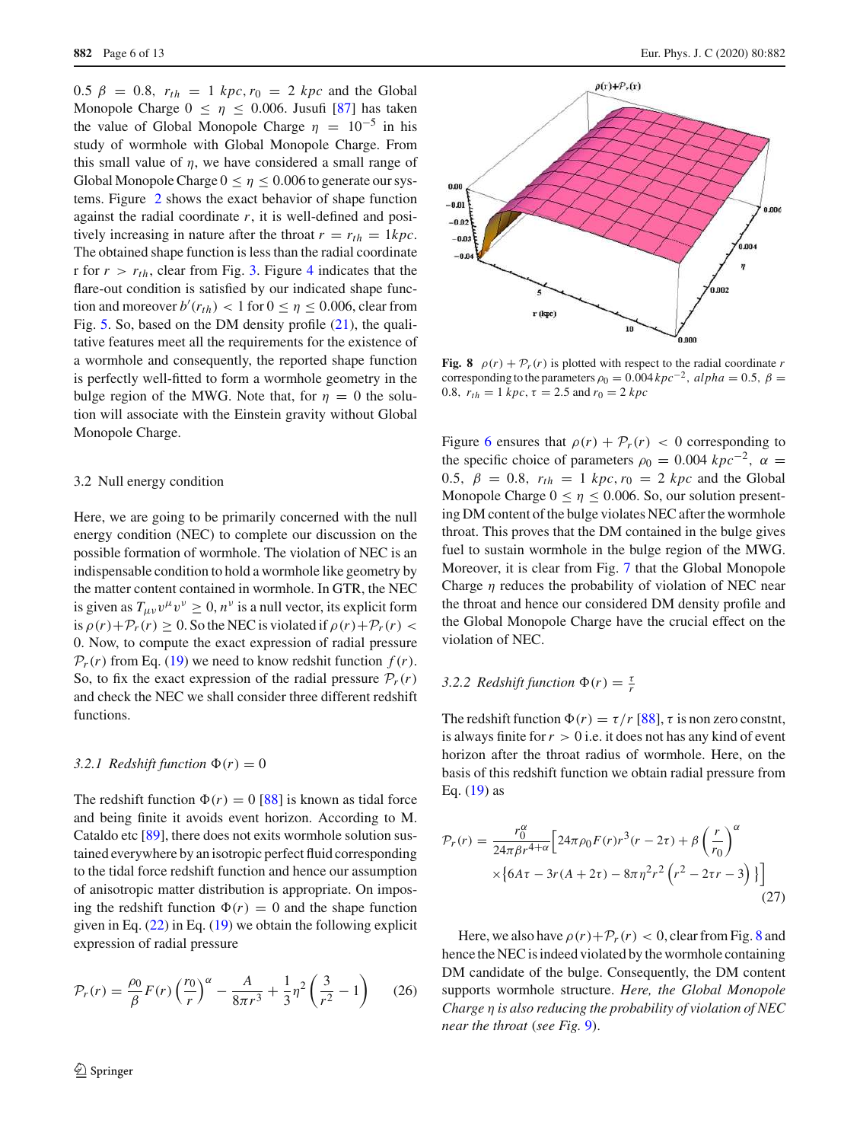0.5  $\beta = 0.8$ ,  $r_{th} = 1$  kpc,  $r_0 = 2$  kpc and the Global Monopole Charge  $0 \le \eta \le 0.006$ . Jusufi [\[87](#page-12-25)] has taken the value of Global Monopole Charge  $\eta = 10^{-5}$  in his study of wormhole with Global Monopole Charge. From this small value of  $\eta$ , we have considered a small range of Global Monopole Charge  $0 \le \eta \le 0.006$  to generate our systems. Figure [2](#page-2-4) shows the exact behavior of shape function against the radial coordinate *r*, it is well-defined and positively increasing in nature after the throat  $r = r_{th} = 1 kpc$ . The obtained shape function is less than the radial coordinate r for  $r > r_{th}$ , clear from Fig. [3.](#page-3-2) Figure [4](#page-3-3) indicates that the flare-out condition is satisfied by our indicated shape function and moreover  $b'(r_{th}) < 1$  for  $0 \le \eta \le 0.006$ , clear from Fig. [5.](#page-4-2) So, based on the DM density profile  $(21)$ , the qualitative features meet all the requirements for the existence of a wormhole and consequently, the reported shape function is perfectly well-fitted to form a wormhole geometry in the bulge region of the MWG. Note that, for  $\eta = 0$  the solution will associate with the Einstein gravity without Global Monopole Charge.

## <span id="page-5-0"></span>3.2 Null energy condition

Here, we are going to be primarily concerned with the null energy condition (NEC) to complete our discussion on the possible formation of wormhole. The violation of NEC is an indispensable condition to hold a wormhole like geometry by the matter content contained in wormhole. In GTR, the NEC is given as  $T_{\mu\nu}v^{\mu}v^{\nu} \ge 0$ ,  $n^{\nu}$  is a null vector, its explicit form is  $\rho(r)+\mathcal{P}_r(r) \geq 0$ . So the NEC is violated if  $\rho(r)+\mathcal{P}_r(r)$ 0. Now, to compute the exact expression of radial pressure  $P_r(r)$  from Eq. [\(19\)](#page-3-1) we need to know redshit function  $f(r)$ . So, to fix the exact expression of the radial pressure  $\mathcal{P}_r(r)$ and check the NEC we shall consider three different redshift functions.

## <span id="page-5-1"></span>3.2.1 Redshift function  $\Phi(r) = 0$

The redshift function  $\Phi(r) = 0$  [\[88\]](#page-12-26) is known as tidal force and being finite it avoids event horizon. According to M. Cataldo etc [\[89](#page-12-27)], there does not exits wormhole solution sustained everywhere by an isotropic perfect fluid corresponding to the tidal force redshift function and hence our assumption of anisotropic matter distribution is appropriate. On imposing the redshift function  $\Phi(r) = 0$  and the shape function given in Eq.  $(22)$  in Eq.  $(19)$  we obtain the following explicit expression of radial pressure

$$
\mathcal{P}_r(r) = \frac{\rho_0}{\beta} F(r) \left(\frac{r_0}{r}\right)^{\alpha} - \frac{A}{8\pi r^3} + \frac{1}{3} \eta^2 \left(\frac{3}{r^2} - 1\right) \tag{26}
$$



<span id="page-5-3"></span>**Fig. 8**  $\rho(r) + \mathcal{P}_r(r)$  is plotted with respect to the radial coordinate *r* corresponding to the parameters  $\rho_0 = 0.004 kpc^{-2}$ ,  $alpha = 0.5$ ,  $\beta =$ 0.8,  $r_{th} = 1 kpc$ ,  $\tau = 2.5$  and  $r_0 = 2 kpc$ 

Figure [6](#page-4-4) ensures that  $\rho(r) + \mathcal{P}_r(r) < 0$  corresponding to the specific choice of parameters  $\rho_0 = 0.004 kpc^{-2}$ ,  $\alpha =$ 0.5,  $\beta = 0.8$ ,  $r_{th} = 1 kpc$ ,  $r_0 = 2 kpc$  and the Global Monopole Charge  $0 \le \eta \le 0.006$ . So, our solution presenting DM content of the bulge violates NEC after the wormhole throat. This proves that the DM contained in the bulge gives fuel to sustain wormhole in the bulge region of the MWG. Moreover, it is clear from Fig. [7](#page-4-5) that the Global Monopole Charge  $\eta$  reduces the probability of violation of NEC near the throat and hence our considered DM density profile and the Global Monopole Charge have the crucial effect on the violation of NEC.

# <span id="page-5-2"></span>3.2.2 *Redshift function*  $\Phi(r) = \frac{7}{r}$

The redshift function  $\Phi(r) = \tau/r$  [\[88](#page-12-26)],  $\tau$  is non zero constnt, is always finite for  $r > 0$  i.e. it does not has any kind of event horizon after the throat radius of wormhole. Here, on the basis of this redshift function we obtain radial pressure from Eq.  $(19)$  as

$$
\mathcal{P}_r(r) = \frac{r_0^{\alpha}}{24\pi\beta r^{4+\alpha}} \Big[ 24\pi\rho_0 F(r) r^3 (r - 2\tau) + \beta \left(\frac{r}{r_0}\right)^{\alpha} \times \Big[ 6A\tau - 3r(A + 2\tau) - 8\pi\eta^2 r^2 \left(r^2 - 2\tau r - 3\right) \Big] \Big]
$$
\n(27)

Here, we also have  $\rho(r)+\mathcal{P}_r(r) < 0$ , clear from Fig. [8](#page-5-3) and hence the NEC is indeed violated by the wormhole containing DM candidate of the bulge. Consequently, the DM content supports wormhole structure. *Here, the Global Monopole Charge* η *is also reducing the probability of violation of NEC near the throat* (*see Fig.* [9\)](#page-6-1).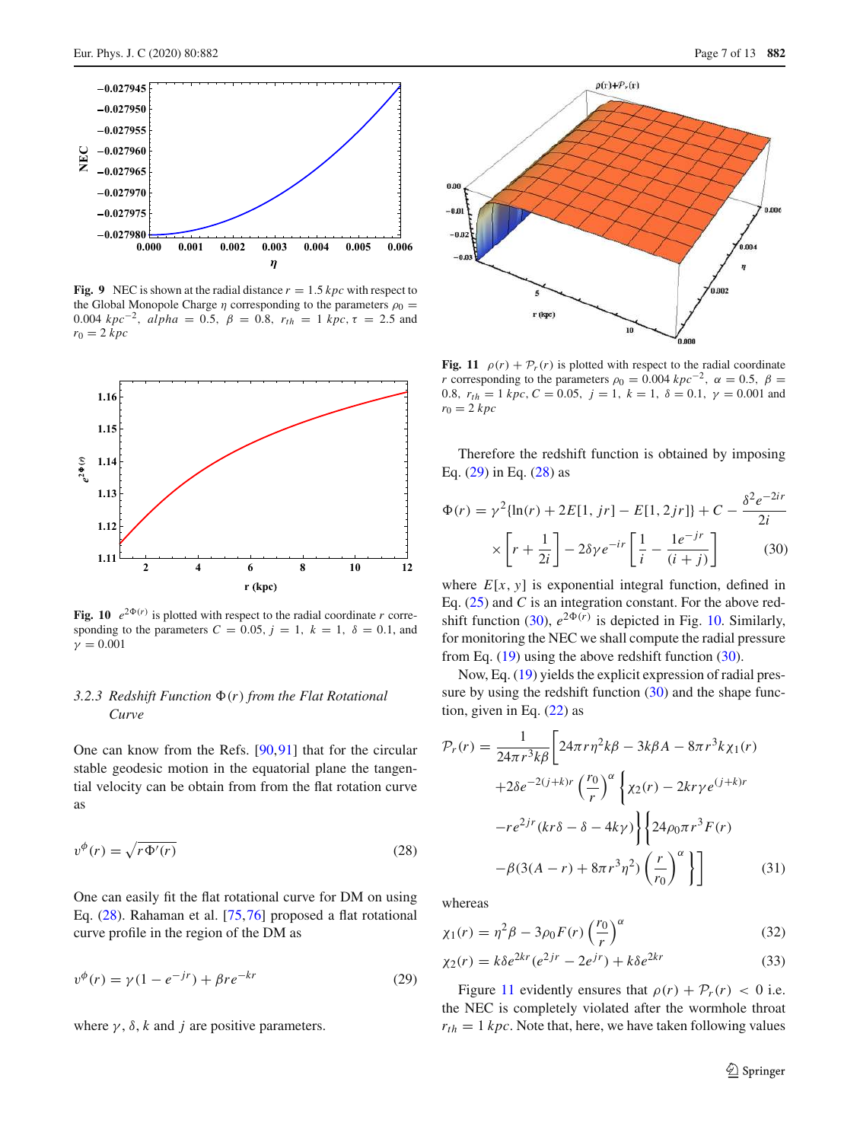

<span id="page-6-1"></span>**Fig. 9** NEC is shown at the radial distance  $r = 1.5$  kpc with respect to the Global Monopole Charge  $\eta$  corresponding to the parameters  $\rho_0 =$ 0.004 *kpc*<sup>−2</sup>, *alpha* = 0.5, *β* = 0.8,  $r_{th}$  = 1 *kpc*, τ = 2.5 and  $r_0 = 2 kpc$ 



<span id="page-6-5"></span>**Fig. 10**  $e^{2\Phi(r)}$  is plotted with respect to the radial coordinate *r* corresponding to the parameters  $C = 0.05$ ,  $j = 1$ ,  $k = 1$ ,  $\delta = 0.1$ , and  $\gamma = 0.001$ 

# <span id="page-6-0"></span>3.2.3 Redshift Function  $\Phi(r)$  from the Flat Rotational *Curve*

<span id="page-6-2"></span>One can know from the Refs. [\[90,](#page-12-28)[91\]](#page-12-29) that for the circular stable geodesic motion in the equatorial plane the tangential velocity can be obtain from from the flat rotation curve as

$$
v^{\phi}(r) = \sqrt{r\Phi'(r)}
$$
\n(28)

One can easily fit the flat rotational curve for DM on using Eq. [\(28\)](#page-6-2). Rahaman et al. [\[75,](#page-12-13)[76\]](#page-12-14) proposed a flat rotational curve profile in the region of the DM as

$$
v^{\phi}(r) = \gamma (1 - e^{-jr}) + \beta r e^{-kr}
$$
 (29)

where  $\gamma$ ,  $\delta$ ,  $k$  and  $j$  are positive parameters.



<span id="page-6-6"></span>**Fig. 11**  $\rho(r) + \mathcal{P}_r(r)$  is plotted with respect to the radial coordinate *r* corresponding to the parameters  $\rho_0 = 0.004 kpc^{-2}$ ,  $\alpha = 0.5$ ,  $\beta =$ 0.8,  $r_{th} = 1 kpc$ ,  $C = 0.05$ ,  $j = 1$ ,  $k = 1$ ,  $\delta = 0.1$ ,  $\gamma = 0.001$  and  $r_0 = 2 kpc$ 

Therefore the redshift function is obtained by imposing Eq. [\(29\)](#page-6-3) in Eq. [\(28\)](#page-6-2) as

<span id="page-6-4"></span>
$$
\Phi(r) = \gamma^2 \{ \ln(r) + 2E[1, jr] - E[1, 2jr] \} + C - \frac{\delta^2 e^{-2ir}}{2i} \times \left[ r + \frac{1}{2i} \right] - 2\delta \gamma e^{-ir} \left[ \frac{1}{i} - \frac{1e^{-jr}}{(i+j)} \right]
$$
(30)

where  $E[x, y]$  is exponential integral function, defined in Eq. [\(25\)](#page-4-6) and *C* is an integration constant. For the above red-shift function [\(30\)](#page-6-4),  $e^{2\Phi(r)}$  is depicted in Fig. [10.](#page-6-5) Similarly, for monitoring the NEC we shall compute the radial pressure from Eq.  $(19)$  using the above redshift function  $(30)$ .

Now, Eq. [\(19\)](#page-3-1) yields the explicit expression of radial pressure by using the redshift function  $(30)$  and the shape function, given in Eq.  $(22)$  as

$$
\mathcal{P}_r(r) = \frac{1}{24\pi r^3 k \beta} \left[ 24\pi r \eta^2 k \beta - 3k\beta A - 8\pi r^3 k \chi_1(r) + 2\delta e^{-2(j+k)r} \left( \frac{r_0}{r} \right)^{\alpha} \left\{ \chi_2(r) - 2k r \gamma e^{(j+k)r} - r e^{2jr} (kr \delta - \delta - 4k\gamma) \right\} \left\{ 24\rho_0 \pi r^3 F(r) -\beta (3(A-r) + 8\pi r^3 \eta^2) \left( \frac{r}{r_0} \right)^{\alpha} \right\} \right]
$$
(31)

whereas

<span id="page-6-3"></span>
$$
\chi_1(r) = \eta^2 \beta - 3\rho_0 F(r) \left(\frac{r_0}{r}\right)^\alpha \tag{32}
$$

$$
\chi_2(r) = k\delta e^{2kr} (e^{2jr} - 2e^{jr}) + k\delta e^{2kr}
$$
\n(33)

Figure [11](#page-6-6) evidently ensures that  $\rho(r) + \mathcal{P}_r(r) < 0$  i.e. the NEC is completely violated after the wormhole throat  $r_{th} = 1 kpc$ . Note that, here, we have taken following values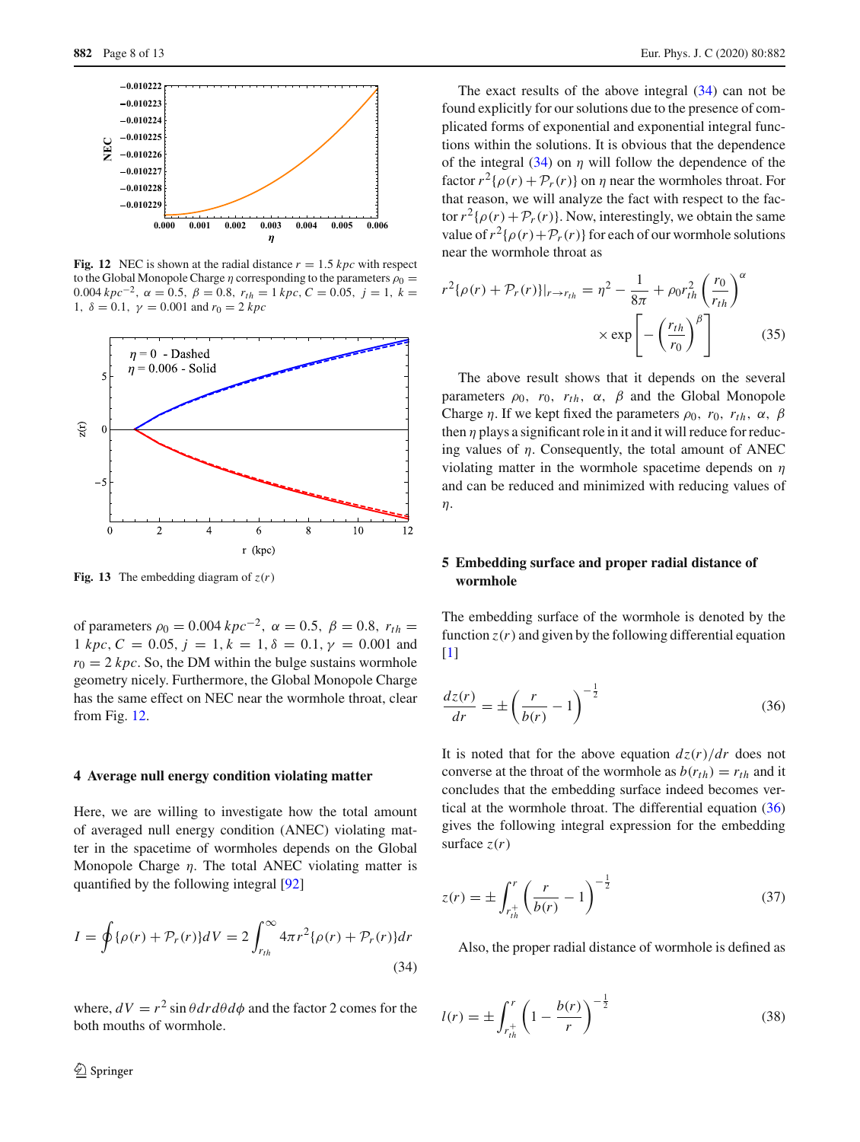

<span id="page-7-1"></span>**Fig. 12** NEC is shown at the radial distance  $r = 1.5$  kpc with respect to the Global Monopole Charge *η* corresponding to the parameters  $\rho_0 =$  $0.004 kpc^{-2}$ ,  $\alpha = 0.5$ ,  $\beta = 0.8$ ,  $r_{th} = 1 kpc$ ,  $C = 0.05$ ,  $j = 1$ ,  $k =$ 1,  $\delta = 0.1$ ,  $\gamma = 0.001$  and  $r_0 = 2 kpc$ 



<span id="page-7-6"></span>**Fig. 13** The embedding diagram of  $z(r)$ 

of parameters  $\rho_0 = 0.004 kpc^{-2}$ ,  $\alpha = 0.5$ ,  $\beta = 0.8$ ,  $r_{th} =$ 1 *kpc*,  $C = 0.05$ ,  $j = 1$ ,  $k = 1$ ,  $\delta = 0.1$ ,  $\gamma = 0.001$  and  $r_0 = 2 kpc$ . So, the DM within the bulge sustains wormhole geometry nicely. Furthermore, the Global Monopole Charge has the same effect on NEC near the wormhole throat, clear from Fig. [12.](#page-7-1)

#### **4 Average null energy condition violating matter**

Here, we are willing to investigate how the total amount of averaged null energy condition (ANEC) violating matter in the spacetime of wormholes depends on the Global Monopole Charge  $\eta$ . The total ANEC violating matter is quantified by the following integral [\[92\]](#page-12-30)

$$
I = \oint {\{\rho(r) + \mathcal{P}_r(r)\}dV} = 2\int_{r_{th}}^{\infty} 4\pi r^2 {\{\rho(r) + \mathcal{P}_r(r)\}dr}
$$
\n(34)

where,  $dV = r^2 \sin \theta dr d\theta d\phi$  and the factor 2 comes for the both mouths of wormhole.

The exact results of the above integral  $(34)$  can not be found explicitly for our solutions due to the presence of complicated forms of exponential and exponential integral functions within the solutions. It is obvious that the dependence of the integral  $(34)$  on  $\eta$  will follow the dependence of the factor  $r^2\{\rho(r) + \mathcal{P}_r(r)\}\$  on  $\eta$  near the wormholes throat. For that reason, we will analyze the fact with respect to the factor  $r^2 {\rho(r) + \mathcal{P}_r(r)}$ . Now, interestingly, we obtain the same value of  $r^2\{\rho(r)+\mathcal{P}_r(r)\}\$  for each of our wormhole solutions near the wormhole throat as

$$
r^{2}\{\rho(r) + \mathcal{P}_{r}(r)\}|_{r \to r_{th}} = \eta^{2} - \frac{1}{8\pi} + \rho_{0}r_{th}^{2}\left(\frac{r_{0}}{r_{th}}\right)^{\alpha}
$$

$$
\times \exp\left[-\left(\frac{r_{th}}{r_{0}}\right)^{\beta}\right]
$$
(35)

The above result shows that it depends on the several parameters  $\rho_0$ ,  $r_0$ ,  $r_{th}$ ,  $\alpha$ ,  $\beta$  and the Global Monopole Charge *η*. If we kept fixed the parameters  $\rho_0$ ,  $r_0$ ,  $r_{th}$ ,  $\alpha$ ,  $\beta$ then  $\eta$  plays a significant role in it and it will reduce for reducing values of  $\eta$ . Consequently, the total amount of ANEC violating matter in the wormhole spacetime depends on  $\eta$ and can be reduced and minimized with reducing values of η.

# <span id="page-7-0"></span>**5 Embedding surface and proper radial distance of wormhole**

<span id="page-7-3"></span>The embedding surface of the wormhole is denoted by the function  $z(r)$  and given by the following differential equation [\[1](#page-11-0)]

$$
\frac{dz(r)}{dr} = \pm \left(\frac{r}{b(r)} - 1\right)^{-\frac{1}{2}}\tag{36}
$$

It is noted that for the above equation  $\frac{dz(r)}{dr}$  does not converse at the throat of the wormhole as  $b(r_{th}) = r_{th}$  and it concludes that the embedding surface indeed becomes vertical at the wormhole throat. The differential equation [\(36\)](#page-7-3) gives the following integral expression for the embedding surface  $z(r)$ 

<span id="page-7-4"></span><span id="page-7-2"></span>
$$
z(r) = \pm \int_{r_{th}^{+}}^{r} \left(\frac{r}{b(r)} - 1\right)^{-\frac{1}{2}}
$$
 (37)

<span id="page-7-5"></span>Also, the proper radial distance of wormhole is defined as

$$
l(r) = \pm \int_{r_{th}^{+}}^{r} \left(1 - \frac{b(r)}{r}\right)^{-\frac{1}{2}}
$$
 (38)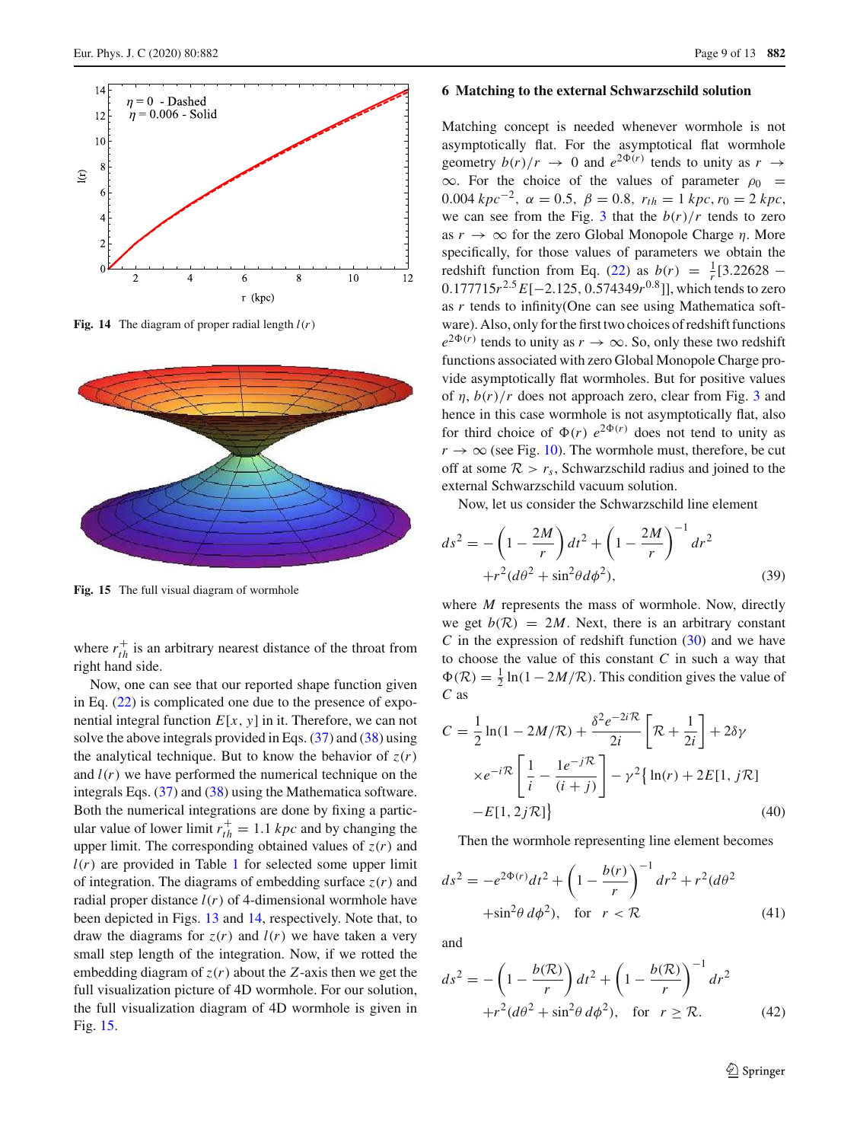

<span id="page-8-1"></span>**Fig. 14** The diagram of proper radial length  $l(r)$ 



<span id="page-8-2"></span>**Fig. 15** The full visual diagram of wormhole

where  $r_{th}^+$  is an arbitrary nearest distance of the throat from right hand side.

Now, one can see that our reported shape function given in Eq.  $(22)$  is complicated one due to the presence of exponential integral function  $E[x, y]$  in it. Therefore, we can not solve the above integrals provided in Eqs.  $(37)$  and  $(38)$  using the analytical technique. But to know the behavior of  $z(r)$ and  $l(r)$  we have performed the numerical technique on the integrals Eqs. [\(37\)](#page-7-4) and [\(38\)](#page-7-5) using the Mathematica software. Both the numerical integrations are done by fixing a particular value of lower limit  $r_{th}^+ = 1.1$  *kpc* and by changing the upper limit. The corresponding obtained values of  $z(r)$  and  $l(r)$  are provided in Table [1](#page-10-0) for selected some upper limit of integration. The diagrams of embedding surface  $z(r)$  and radial proper distance  $l(r)$  of 4-dimensional wormhole have been depicted in Figs. [13](#page-7-6) and [14,](#page-8-1) respectively. Note that, to draw the diagrams for  $z(r)$  and  $l(r)$  we have taken a very small step length of the integration. Now, if we rotted the embedding diagram of  $z(r)$  about the *Z*-axis then we get the full visualization picture of 4D wormhole. For our solution, the full visualization diagram of 4D wormhole is given in Fig. [15.](#page-8-2)

### <span id="page-8-0"></span>**6 Matching to the external Schwarzschild solution**

Matching concept is needed whenever wormhole is not asymptotically flat. For the asymptotical flat wormhole geometry  $b(r)/r \rightarrow 0$  and  $e^{2\Phi(r)}$  tends to unity as  $r \rightarrow$  $\infty$ . For the choice of the values of parameter  $\rho_0$  = 0.004  $kpc^{-2}$ ,  $\alpha = 0.5$ ,  $\beta = 0.8$ ,  $r_{th} = 1$   $kpc$ ,  $r_0 = 2$   $kpc$ , we can see from the Fig. [3](#page-3-2) that the  $b(r)/r$  tends to zero as  $r \to \infty$  for the zero Global Monopole Charge  $\eta$ . More specifically, for those values of parameters we obtain the redshift function from Eq. [\(22\)](#page-4-3) as  $b(r) = \frac{1}{r} [3.22628 -$ 0.177715*r*<sup>2.5</sup> *E*[−2.125, 0.574349*r*<sup>0.8</sup>]], which tends to zero as *r* tends to infinity(One can see using Mathematica software). Also, only for the first two choices of redshift functions  $e^{2\Phi(r)}$  tends to unity as  $r \to \infty$ . So, only these two redshift functions associated with zero Global Monopole Charge provide asymptotically flat wormholes. But for positive values of  $\eta$ ,  $b(r)/r$  does not approach zero, clear from Fig. [3](#page-3-2) and hence in this case wormhole is not asymptotically flat, also for third choice of  $\Phi(r)$  *e*<sup>2 $\Phi(r)$ </sup> does not tend to unity as  $r \rightarrow \infty$  (see Fig. [10\)](#page-6-5). The wormhole must, therefore, be cut off at some  $\mathcal{R} > r_s$ , Schwarzschild radius and joined to the external Schwarzschild vacuum solution.

Now, let us consider the Schwarzschild line element

$$
ds^{2} = -\left(1 - \frac{2M}{r}\right)dt^{2} + \left(1 - \frac{2M}{r}\right)^{-1}dr^{2} + r^{2}(d\theta^{2} + \sin^{2}\theta d\phi^{2}),
$$
\n(39)

where *M* represents the mass of wormhole. Now, directly we get  $b(R) = 2M$ . Next, there is an arbitrary constant *C* in the expression of redshift function [\(30\)](#page-6-4) and we have to choose the value of this constant *C* in such a way that  $\Phi(\mathcal{R}) = \frac{1}{2} \ln(1 - 2M/\mathcal{R})$ . This condition gives the value of *C* as

$$
C = \frac{1}{2}\ln(1 - 2M/R) + \frac{\delta^2 e^{-2i\mathcal{R}}}{2i} \left[\mathcal{R} + \frac{1}{2i}\right] + 2\delta\gamma
$$
  

$$
\times e^{-i\mathcal{R}} \left[\frac{1}{i} - \frac{1e^{-j\mathcal{R}}}{(i+j)}\right] - \gamma^2 \left\{\ln(r) + 2E[1, j\mathcal{R}] - E[1, 2j\mathcal{R}]\right\}
$$
(40)

Then the wormhole representing line element becomes

$$
ds^{2} = -e^{2\Phi(r)}dt^{2} + \left(1 - \frac{b(r)}{r}\right)^{-1}dr^{2} + r^{2}(d\theta^{2} + \sin^{2}\theta \, d\phi^{2}), \quad \text{for} \quad r < \mathcal{R} \tag{41}
$$

and

$$
ds^{2} = -\left(1 - \frac{b(\mathcal{R})}{r}\right)dt^{2} + \left(1 - \frac{b(\mathcal{R})}{r}\right)^{-1}dr^{2}
$$

$$
+r^{2}(d\theta^{2} + \sin^{2}\theta \, d\phi^{2}), \text{ for } r \geq \mathcal{R}.
$$
 (42)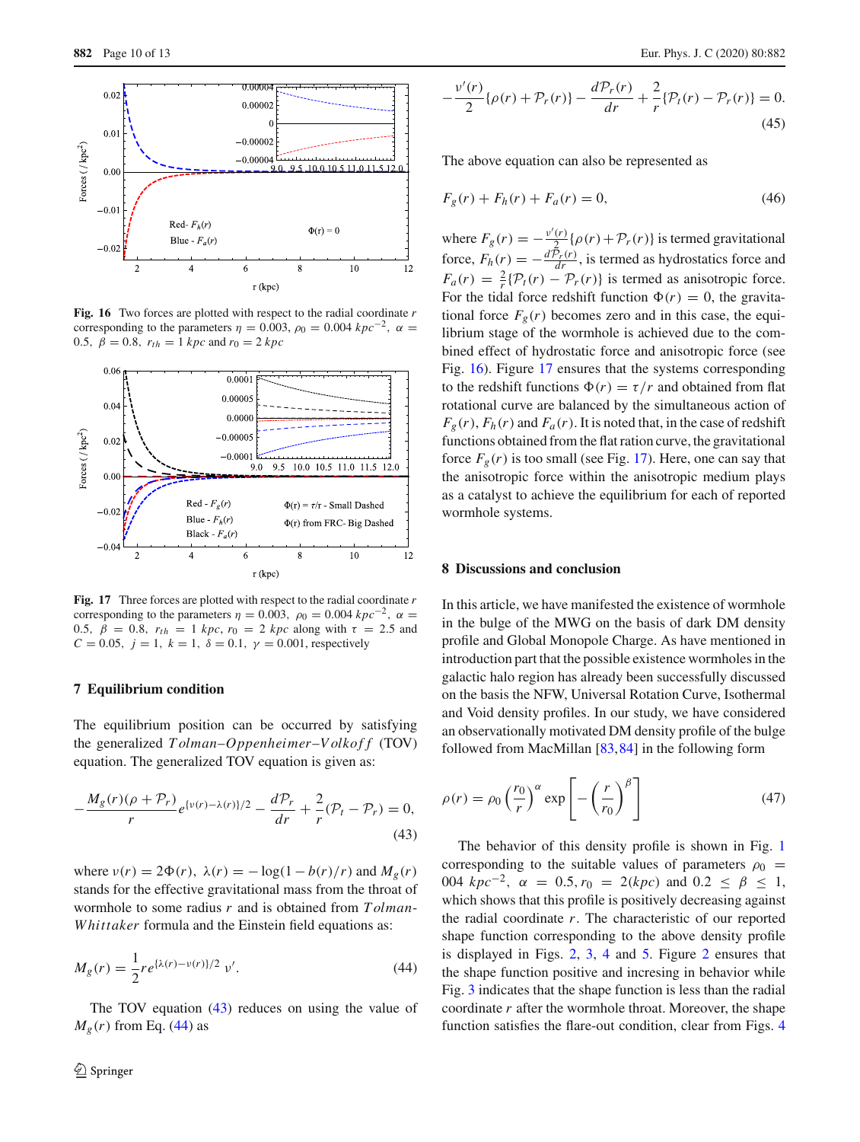

<span id="page-9-3"></span>**Fig. 16** Two forces are plotted with respect to the radial coordinate *r* corresponding to the parameters  $\eta = 0.003$ ,  $\rho_0 = 0.004$   $kpc^{-2}$ ,  $\alpha =$ 0.5,  $\beta = 0.8$ ,  $r_{th} = 1$  *kpc* and  $r_0 = 2$  *kpc* 



<span id="page-9-4"></span>**Fig. 17** Three forces are plotted with respect to the radial coordinate *r* corresponding to the parameters  $\eta = 0.003$ ,  $\rho_0 = 0.004$   $kpc^{-2}$ ,  $\alpha =$ 0.5,  $β = 0.8$ ,  $r_{th} = 1$  *kpc*,  $r_0 = 2$  *kpc* along with  $τ = 2.5$  and *C* = 0.05,  $j = 1$ ,  $k = 1$ ,  $\delta = 0.1$ ,  $\gamma = 0.001$ , respectively

### **7 Equilibrium condition**

The equilibrium position can be occurred by satisfying the generalized  $Tolman-Oppenheimer-Volkoff$  (TOV) equation. The generalized TOV equation is given as:

$$
-\frac{M_g(r)(\rho + \mathcal{P}_r)}{r}e^{\{\nu(r) - \lambda(r)\}/2} - \frac{d\mathcal{P}_r}{dr} + \frac{2}{r}(\mathcal{P}_t - \mathcal{P}_r) = 0,
$$
\n(43)

where  $v(r) = 2\Phi(r)$ ,  $\lambda(r) = -\log(1 - b(r)/r)$  and  $M_g(r)$ stands for the effective gravitational mass from the throat of wormhole to some radius *r* and is obtained from *T olman*-*W hittaker* formula and the Einstein field equations as:

$$
M_g(r) = \frac{1}{2} r e^{\{\lambda(r) - \nu(r)\}/2} \nu'.
$$
 (44)

The TOV equation  $(43)$  reduces on using the value of  $M<sub>g</sub>(r)$  from Eq. [\(44\)](#page-9-2) as

$$
-\frac{v'(r)}{2}\{\rho(r)+\mathcal{P}_r(r)\}-\frac{d\mathcal{P}_r(r)}{dr}+\frac{2}{r}\{\mathcal{P}_t(r)-\mathcal{P}_r(r)\}=0.
$$
\n(45)

The above equation can also be represented as

$$
F_g(r) + F_h(r) + F_a(r) = 0,
$$
\n(46)

where  $F_g(r) = -\frac{v'(r)}{r^2}$  $\frac{r}{2}$   $\{\rho(r)+\mathcal{P}_r(r)\}\$ is termed gravitational force,  $F_h(r) = -\frac{d\tilde{P}_r(r)}{dr}$ , is termed as hydrostatics force and  $F_a(r) = \frac{2}{r} {\mathcal{P}_t(r) - \mathcal{P}_r(r)}$  is termed as anisotropic force. For the tidal force redshift function  $\Phi(r) = 0$ , the gravitational force  $F_g(r)$  becomes zero and in this case, the equilibrium stage of the wormhole is achieved due to the combined effect of hydrostatic force and anisotropic force (see Fig. [16\)](#page-9-3). Figure [17](#page-9-4) ensures that the systems corresponding to the redshift functions  $\Phi(r) = \tau/r$  and obtained from flat rotational curve are balanced by the simultaneous action of  $F_g(r)$ ,  $F_h(r)$  and  $F_a(r)$ . It is noted that, in the case of redshift functions obtained from the flat ration curve, the gravitational force  $F_g(r)$  is too small (see Fig. [17\)](#page-9-4). Here, one can say that the anisotropic force within the anisotropic medium plays as a catalyst to achieve the equilibrium for each of reported wormhole systems.

## <span id="page-9-0"></span>**8 Discussions and conclusion**

In this article, we have manifested the existence of wormhole in the bulge of the MWG on the basis of dark DM density profile and Global Monopole Charge. As have mentioned in introduction part that the possible existence wormholes in the galactic halo region has already been successfully discussed on the basis the NFW, Universal Rotation Curve, Isothermal and Void density profiles. In our study, we have considered an observationally motivated DM density profile of the bulge followed from MacMillan [\[83,](#page-12-21)[84\]](#page-12-22) in the following form

<span id="page-9-1"></span>
$$
\rho(r) = \rho_0 \left(\frac{r_0}{r}\right)^{\alpha} \exp\left[-\left(\frac{r}{r_0}\right)^{\beta}\right]
$$
\n(47)

<span id="page-9-2"></span>The behavior of this density profile is shown in Fig. [1](#page-2-3) corresponding to the suitable values of parameters  $\rho_0$  = 004  $kpc^{-2}$ ,  $\alpha = 0.5$ ,  $r_0 = 2(kpc)$  and  $0.2 \le \beta \le 1$ , which shows that this profile is positively decreasing against the radial coordinate *r*. The characteristic of our reported shape function corresponding to the above density profile is displayed in Figs. [2,](#page-2-4) [3,](#page-3-2) [4](#page-3-3) and [5.](#page-4-2) Figure [2](#page-2-4) ensures that the shape function positive and incresing in behavior while Fig. [3](#page-3-2) indicates that the shape function is less than the radial coordinate *r* after the wormhole throat. Moreover, the shape function satisfies the flare-out condition, clear from Figs. [4](#page-3-3)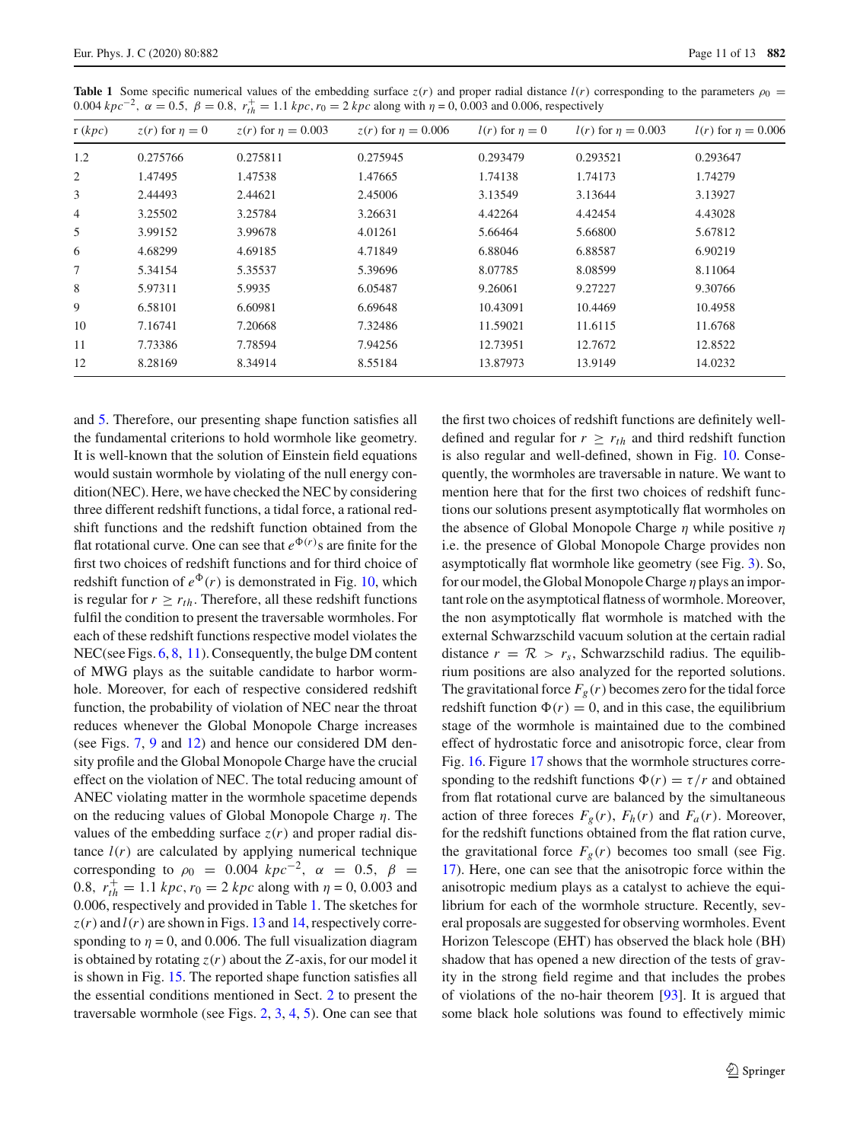| . <b>.</b> .<br>$\cdots$ , $\cdots$<br>$\cdots$ , $\cdots$<br>$-0.5$ $-0.5$ |                       |                           |                        |                       |                        |                        |
|-----------------------------------------------------------------------------|-----------------------|---------------------------|------------------------|-----------------------|------------------------|------------------------|
| r(kpc)                                                                      | $z(r)$ for $\eta = 0$ | $z(r)$ for $\eta = 0.003$ | $z(r)$ for $n = 0.006$ | $l(r)$ for $\eta = 0$ | $l(r)$ for $n = 0.003$ | $l(r)$ for $n = 0.006$ |
| 1.2                                                                         | 0.275766              | 0.275811                  | 0.275945               | 0.293479              | 0.293521               | 0.293647               |
| 2                                                                           | 1.47495               | 1.47538                   | 1.47665                | 1.74138               | 1.74173                | 1.74279                |
| 3                                                                           | 2.44493               | 2.44621                   | 2.45006                | 3.13549               | 3.13644                | 3.13927                |
| 4                                                                           | 3.25502               | 3.25784                   | 3.26631                | 4.42264               | 4.42454                | 4.43028                |
| 5                                                                           | 3.99152               | 3.99678                   | 4.01261                | 5.66464               | 5.66800                | 5.67812                |
| 6                                                                           | 4.68299               | 4.69185                   | 4.71849                | 6.88046               | 6.88587                | 6.90219                |
| 7                                                                           | 5.34154               | 5.35537                   | 5.39696                | 8.07785               | 8.08599                | 8.11064                |
| 8                                                                           | 5.97311               | 5.9935                    | 6.05487                | 9.26061               | 9.27227                | 9.30766                |
| 9                                                                           | 6.58101               | 6.60981                   | 6.69648                | 10.43091              | 10.4469                | 10.4958                |
| 10                                                                          | 7.16741               | 7.20668                   | 7.32486                | 11.59021              | 11.6115                | 11.6768                |
| 11                                                                          | 7.73386               | 7.78594                   | 7.94256                | 12.73951              | 12.7672                | 12.8522                |
| 12                                                                          | 8.28169               | 8.34914                   | 8.55184                | 13.87973              | 13.9149                | 14.0232                |
|                                                                             |                       |                           |                        |                       |                        |                        |

<span id="page-10-0"></span>**Table 1** Some specific numerical values of the embedding surface  $z(r)$  and proper radial distance  $l(r)$  corresponding to the parameters  $\rho_0 =$ 0.004 *kpc*<sup>−2</sup>, α = 0.5, β = 0.8,  $r_{th}^+$  = 1.1 *kpc*,  $r_0$  = 2 *kpc* along with  $η$  = 0, 0.003 and 0.006, respectively

and [5.](#page-4-2) Therefore, our presenting shape function satisfies all the fundamental criterions to hold wormhole like geometry. It is well-known that the solution of Einstein field equations would sustain wormhole by violating of the null energy condition(NEC). Here, we have checked the NEC by considering three different redshift functions, a tidal force, a rational redshift functions and the redshift function obtained from the flat rotational curve. One can see that  $e^{\Phi(r)}$  s are finite for the first two choices of redshift functions and for third choice of redshift function of  $e^{\Phi}(r)$  is demonstrated in Fig. [10,](#page-6-5) which is regular for  $r \geq r_{th}$ . Therefore, all these redshift functions fulfil the condition to present the traversable wormholes. For each of these redshift functions respective model violates the NEC(see Figs. [6,](#page-4-4) [8,](#page-5-3) [11\)](#page-6-6). Consequently, the bulge DM content of MWG plays as the suitable candidate to harbor wormhole. Moreover, for each of respective considered redshift function, the probability of violation of NEC near the throat reduces whenever the Global Monopole Charge increases (see Figs. [7,](#page-4-5) [9](#page-6-1) and [12\)](#page-7-1) and hence our considered DM density profile and the Global Monopole Charge have the crucial effect on the violation of NEC. The total reducing amount of ANEC violating matter in the wormhole spacetime depends on the reducing values of Global Monopole Charge  $\eta$ . The values of the embedding surface  $z(r)$  and proper radial distance  $l(r)$  are calculated by applying numerical technique corresponding to  $\rho_0 = 0.004 \; kpc^{-2}$ ,  $\alpha = 0.5$ ,  $\beta =$ 0.8,  $r_{th}^+ = 1.1$  *kpc*,  $r_0 = 2$  *kpc* along with  $\eta = 0$ , 0.003 and 0.006, respectively and provided in Table [1.](#page-10-0) The sketches for  $z(r)$  and  $l(r)$  are shown in Figs. [13](#page-7-6) and [14,](#page-8-1) respectively corresponding to  $\eta = 0$ , and 0.006. The full visualization diagram is obtained by rotating  $z(r)$  about the *Z*-axis, for our model it is shown in Fig. [15.](#page-8-2) The reported shape function satisfies all the essential conditions mentioned in Sect. [2](#page-1-0) to present the traversable wormhole (see Figs. [2,](#page-2-4) [3,](#page-3-2) [4,](#page-3-3) [5\)](#page-4-2). One can see that the first two choices of redshift functions are definitely welldefined and regular for  $r \geq r_{th}$  and third redshift function is also regular and well-defined, shown in Fig. [10.](#page-6-5) Consequently, the wormholes are traversable in nature. We want to mention here that for the first two choices of redshift functions our solutions present asymptotically flat wormholes on the absence of Global Monopole Charge  $\eta$  while positive  $\eta$ i.e. the presence of Global Monopole Charge provides non asymptotically flat wormhole like geometry (see Fig. [3\)](#page-3-2). So, for our model, the Global Monopole Charge  $\eta$  plays an important role on the asymptotical flatness of wormhole. Moreover, the non asymptotically flat wormhole is matched with the external Schwarzschild vacuum solution at the certain radial distance  $r = \mathcal{R} > r_s$ , Schwarzschild radius. The equilibrium positions are also analyzed for the reported solutions. The gravitational force  $F_g(r)$  becomes zero for the tidal force redshift function  $\Phi(r) = 0$ , and in this case, the equilibrium stage of the wormhole is maintained due to the combined effect of hydrostatic force and anisotropic force, clear from Fig. [16.](#page-9-3) Figure [17](#page-9-4) shows that the wormhole structures corresponding to the redshift functions  $\Phi(r) = \tau/r$  and obtained from flat rotational curve are balanced by the simultaneous action of three foreces  $F_g(r)$ ,  $F_h(r)$  and  $F_a(r)$ . Moreover, for the redshift functions obtained from the flat ration curve, the gravitational force  $F_g(r)$  becomes too small (see Fig. [17\)](#page-9-4). Here, one can see that the anisotropic force within the anisotropic medium plays as a catalyst to achieve the equilibrium for each of the wormhole structure. Recently, several proposals are suggested for observing wormholes. Event Horizon Telescope (EHT) has observed the black hole (BH) shadow that has opened a new direction of the tests of gravity in the strong field regime and that includes the probes of violations of the no-hair theorem [\[93\]](#page-12-31). It is argued that some black hole solutions was found to effectively mimic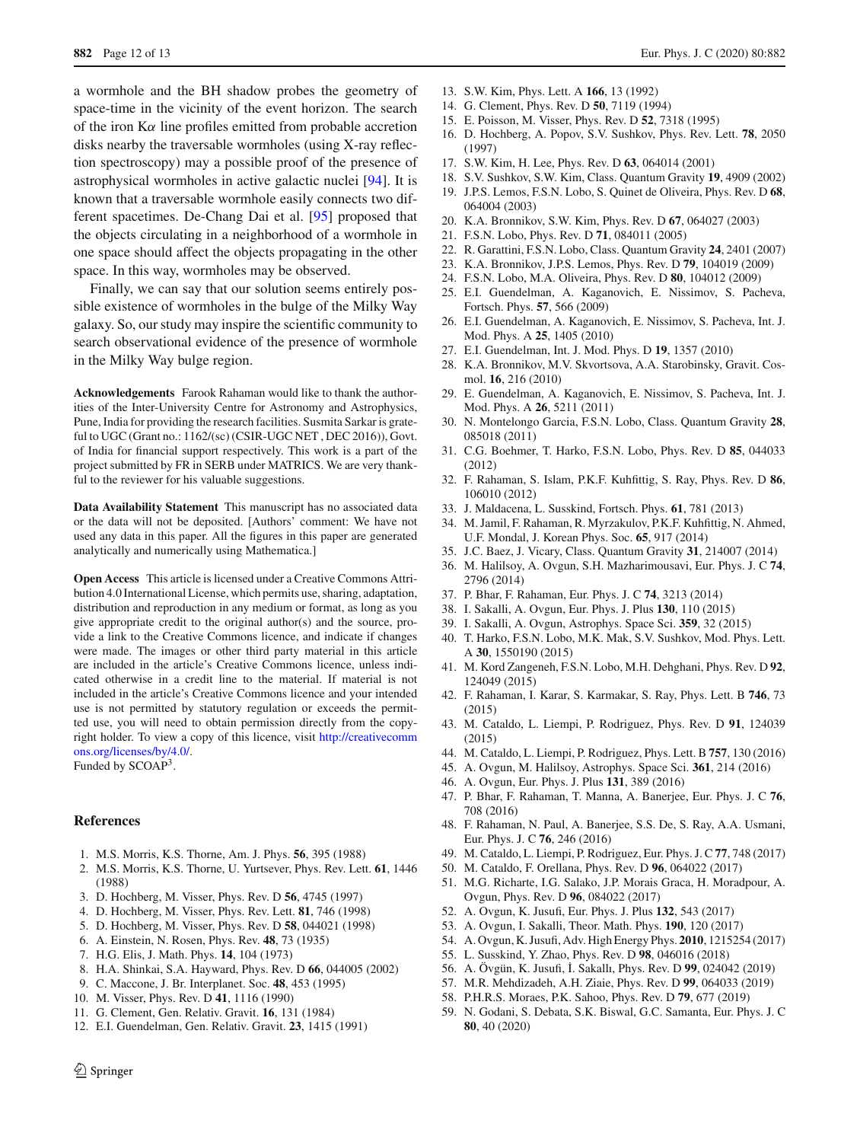a wormhole and the BH shadow probes the geometry of space-time in the vicinity of the event horizon. The search of the iron  $K\alpha$  line profiles emitted from probable accretion disks nearby the traversable wormholes (using X-ray reflection spectroscopy) may a possible proof of the presence of astrophysical wormholes in active galactic nuclei [\[94\]](#page-12-32). It is known that a traversable wormhole easily connects two different spacetimes. De-Chang Dai et al. [\[95](#page-12-33)] proposed that the objects circulating in a neighborhood of a wormhole in one space should affect the objects propagating in the other space. In this way, wormholes may be observed.

Finally, we can say that our solution seems entirely possible existence of wormholes in the bulge of the Milky Way galaxy. So, our study may inspire the scientific community to search observational evidence of the presence of wormhole in the Milky Way bulge region.

**Acknowledgements** Farook Rahaman would like to thank the authorities of the Inter-University Centre for Astronomy and Astrophysics, Pune, India for providing the research facilities. Susmita Sarkar is grateful to UGC (Grant no.: 1162/(sc) (CSIR-UGC NET , DEC 2016)), Govt. of India for financial support respectively. This work is a part of the project submitted by FR in SERB under MATRICS. We are very thankful to the reviewer for his valuable suggestions.

**Data Availability Statement** This manuscript has no associated data or the data will not be deposited. [Authors' comment: We have not used any data in this paper. All the figures in this paper are generated analytically and numerically using Mathematica.]

**Open Access** This article is licensed under a Creative Commons Attribution 4.0 International License, which permits use, sharing, adaptation, distribution and reproduction in any medium or format, as long as you give appropriate credit to the original author(s) and the source, provide a link to the Creative Commons licence, and indicate if changes were made. The images or other third party material in this article are included in the article's Creative Commons licence, unless indicated otherwise in a credit line to the material. If material is not included in the article's Creative Commons licence and your intended use is not permitted by statutory regulation or exceeds the permitted use, you will need to obtain permission directly from the copyright holder. To view a copy of this licence, visit [http://creativecomm](http://creativecommons.org/licenses/by/4.0/) [ons.org/licenses/by/4.0/.](http://creativecommons.org/licenses/by/4.0/)

Funded by SCOAP<sup>3</sup>.

### **References**

- <span id="page-11-0"></span>1. M.S. Morris, K.S. Thorne, Am. J. Phys. **56**, 395 (1988)
- <span id="page-11-1"></span>2. M.S. Morris, K.S. Thorne, U. Yurtsever, Phys. Rev. Lett. **61**, 1446 (1988)
- <span id="page-11-2"></span>3. D. Hochberg, M. Visser, Phys. Rev. D **56**, 4745 (1997)
- 4. D. Hochberg, M. Visser, Phys. Rev. Lett. **81**, 746 (1998)
- <span id="page-11-3"></span>5. D. Hochberg, M. Visser, Phys. Rev. D **58**, 044021 (1998)
- <span id="page-11-4"></span>6. A. Einstein, N. Rosen, Phys. Rev. **48**, 73 (1935)
- <span id="page-11-5"></span>7. H.G. Elis, J. Math. Phys. **14**, 104 (1973)
- <span id="page-11-6"></span>8. H.A. Shinkai, S.A. Hayward, Phys. Rev. D **66**, 044005 (2002)
- <span id="page-11-7"></span>9. C. Maccone, J. Br. Interplanet. Soc. **48**, 453 (1995)
- <span id="page-11-8"></span>10. M. Visser, Phys. Rev. D **41**, 1116 (1990)
- <span id="page-11-9"></span>11. G. Clement, Gen. Relativ. Gravit. **16**, 131 (1984)
- 12. E.I. Guendelman, Gen. Relativ. Gravit. **23**, 1415 (1991)
- 13. S.W. Kim, Phys. Lett. A **166**, 13 (1992)
- 14. G. Clement, Phys. Rev. D **50**, 7119 (1994)
- 15. E. Poisson, M. Visser, Phys. Rev. D **52**, 7318 (1995)
- 16. D. Hochberg, A. Popov, S.V. Sushkov, Phys. Rev. Lett. **78**, 2050 (1997)
- 17. S.W. Kim, H. Lee, Phys. Rev. D **63**, 064014 (2001)
- 18. S.V. Sushkov, S.W. Kim, Class. Quantum Gravity **19**, 4909 (2002)
- 19. J.P.S. Lemos, F.S.N. Lobo, S. Quinet de Oliveira, Phys. Rev. D **68**, 064004 (2003)
- 20. K.A. Bronnikov, S.W. Kim, Phys. Rev. D **67**, 064027 (2003)
- 21. F.S.N. Lobo, Phys. Rev. D **71**, 084011 (2005)
- 22. R. Garattini, F.S.N. Lobo, Class. Quantum Gravity **24**, 2401 (2007)
- 23. K.A. Bronnikov, J.P.S. Lemos, Phys. Rev. D **79**, 104019 (2009)
- 24. F.S.N. Lobo, M.A. Oliveira, Phys. Rev. D **80**, 104012 (2009)
- 25. E.I. Guendelman, A. Kaganovich, E. Nissimov, S. Pacheva, Fortsch. Phys. **57**, 566 (2009)
- 26. E.I. Guendelman, A. Kaganovich, E. Nissimov, S. Pacheva, Int. J. Mod. Phys. A **25**, 1405 (2010)
- 27. E.I. Guendelman, Int. J. Mod. Phys. D **19**, 1357 (2010)
- 28. K.A. Bronnikov, M.V. Skvortsova, A.A. Starobinsky, Gravit. Cosmol. **16**, 216 (2010)
- 29. E. Guendelman, A. Kaganovich, E. Nissimov, S. Pacheva, Int. J. Mod. Phys. A **26**, 5211 (2011)
- 30. N. Montelongo Garcia, F.S.N. Lobo, Class. Quantum Gravity **28**, 085018 (2011)
- 31. C.G. Boehmer, T. Harko, F.S.N. Lobo, Phys. Rev. D **85**, 044033 (2012)
- 32. F. Rahaman, S. Islam, P.K.F. Kuhfittig, S. Ray, Phys. Rev. D **86**, 106010 (2012)
- 33. J. Maldacena, L. Susskind, Fortsch. Phys. **61**, 781 (2013)
- 34. M. Jamil, F. Rahaman, R. Myrzakulov, P.K.F. Kuhfittig, N. Ahmed, U.F. Mondal, J. Korean Phys. Soc. **65**, 917 (2014)
- 35. J.C. Baez, J. Vicary, Class. Quantum Gravity **31**, 214007 (2014)
- 36. M. Halilsoy, A. Ovgun, S.H. Mazharimousavi, Eur. Phys. J. C **74**, 2796 (2014)
- 37. P. Bhar, F. Rahaman, Eur. Phys. J. C **74**, 3213 (2014)
- 38. I. Sakalli, A. Ovgun, Eur. Phys. J. Plus **130**, 110 (2015)
- 39. I. Sakalli, A. Ovgun, Astrophys. Space Sci. **359**, 32 (2015)
- 40. T. Harko, F.S.N. Lobo, M.K. Mak, S.V. Sushkov, Mod. Phys. Lett. A **30**, 1550190 (2015)
- 41. M. Kord Zangeneh, F.S.N. Lobo, M.H. Dehghani, Phys. Rev. D **92**, 124049 (2015)
- 42. F. Rahaman, I. Karar, S. Karmakar, S. Ray, Phys. Lett. B **746**, 73 (2015)
- 43. M. Cataldo, L. Liempi, P. Rodriguez, Phys. Rev. D **91**, 124039 (2015)
- 44. M. Cataldo, L. Liempi, P. Rodriguez, Phys. Lett. B **757**, 130 (2016)
- 45. A. Ovgun, M. Halilsoy, Astrophys. Space Sci. **361**, 214 (2016)
- 46. A. Ovgun, Eur. Phys. J. Plus **131**, 389 (2016)
- 47. P. Bhar, F. Rahaman, T. Manna, A. Banerjee, Eur. Phys. J. C **76**, 708 (2016)
- 48. F. Rahaman, N. Paul, A. Banerjee, S.S. De, S. Ray, A.A. Usmani, Eur. Phys. J. C **76**, 246 (2016)
- 49. M. Cataldo, L. Liempi, P. Rodriguez, Eur. Phys. J. C **77**, 748 (2017)
- 50. M. Cataldo, F. Orellana, Phys. Rev. D **96**, 064022 (2017)
- 51. M.G. Richarte, I.G. Salako, J.P. Morais Graca, H. Moradpour, A. Ovgun, Phys. Rev. D **96**, 084022 (2017)
- 52. A. Ovgun, K. Jusufi, Eur. Phys. J. Plus **132**, 543 (2017)
- 53. A. Ovgun, I. Sakalli, Theor. Math. Phys. **190**, 120 (2017)
- 54. A. Ovgun, K. Jusufi, Adv. High Energy Phys. **2010**, 1215254 (2017)
- <span id="page-11-10"></span>55. L. Susskind, Y. Zhao, Phys. Rev. D **98**, 046016 (2018)
- <span id="page-11-11"></span>56. A. Övgün, K. Jusufi, ˙I. Sakallı, Phys. Rev. D **99**, 024042 (2019)
- <span id="page-11-12"></span>57. M.R. Mehdizadeh, A.H. Ziaie, Phys. Rev. D **99**, 064033 (2019)
- <span id="page-11-13"></span>58. P.H.R.S. Moraes, P.K. Sahoo, Phys. Rev. D **79**, 677 (2019)
- <span id="page-11-14"></span>59. N. Godani, S. Debata, S.K. Biswal, G.C. Samanta, Eur. Phys. J. C **80**, 40 (2020)